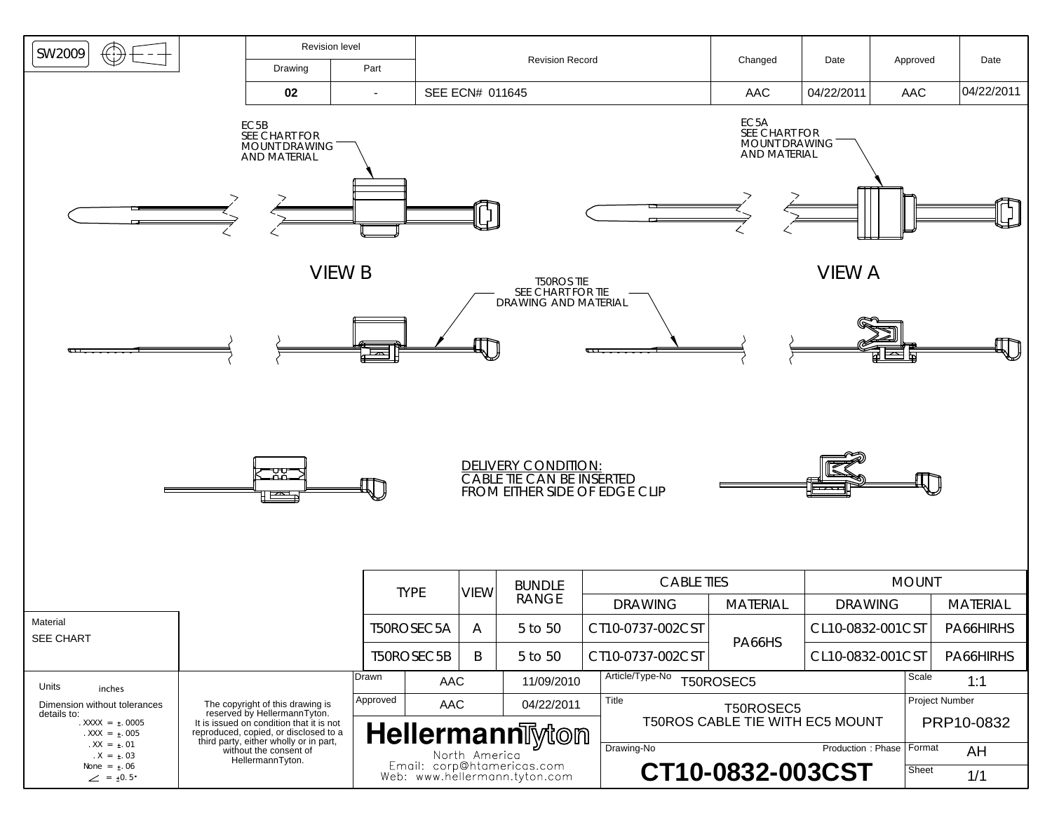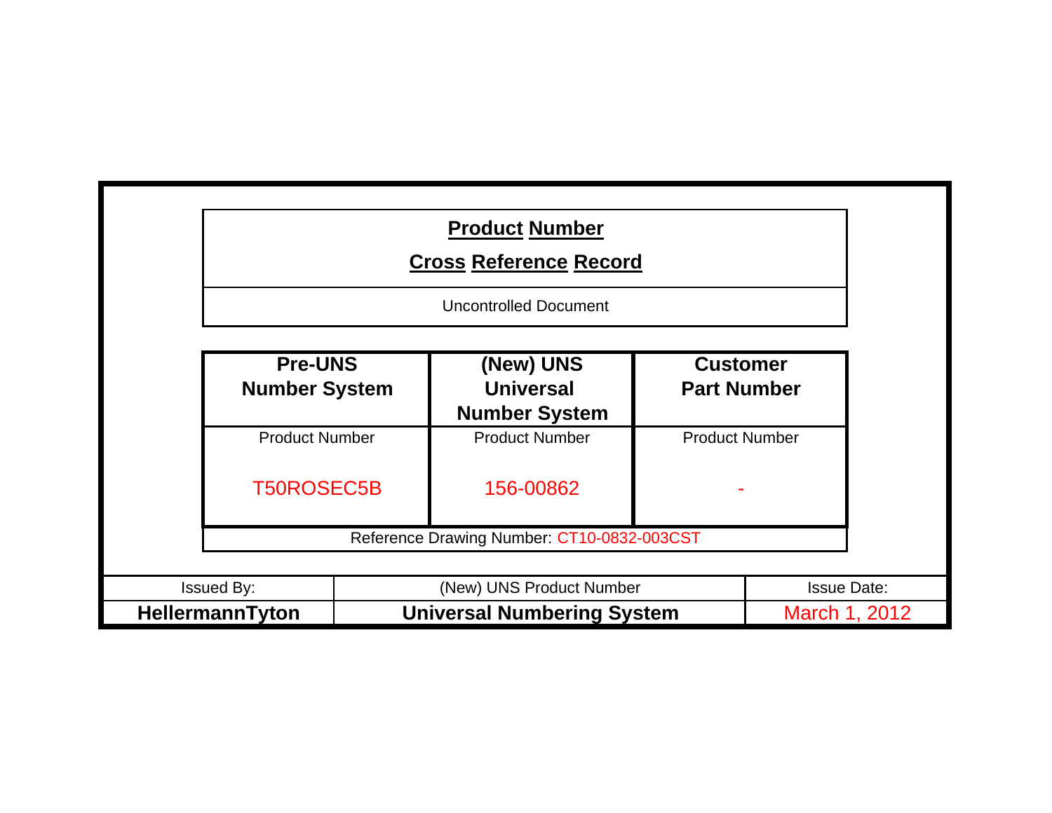|                                            | <b>Product Number</b><br><b>Cross Reference Record</b> |                                       |                    |  |
|--------------------------------------------|--------------------------------------------------------|---------------------------------------|--------------------|--|
|                                            | <b>Uncontrolled Document</b>                           |                                       |                    |  |
| <b>Pre-UNS</b><br><b>Number System</b>     | (New) UNS<br><b>Universal</b><br><b>Number System</b>  | <b>Customer</b><br><b>Part Number</b> |                    |  |
| <b>Product Number</b><br><b>T50ROSEC5B</b> | <b>Product Number</b><br>156-00862                     | <b>Product Number</b>                 |                    |  |
|                                            | Reference Drawing Number: CT10-0832-003CST             |                                       |                    |  |
| Issued By:                                 | (New) UNS Product Number                               |                                       | <b>Issue Date:</b> |  |
| HellermannTyton                            | <b>Universal Numbering System</b>                      |                                       | March 1, 2012      |  |